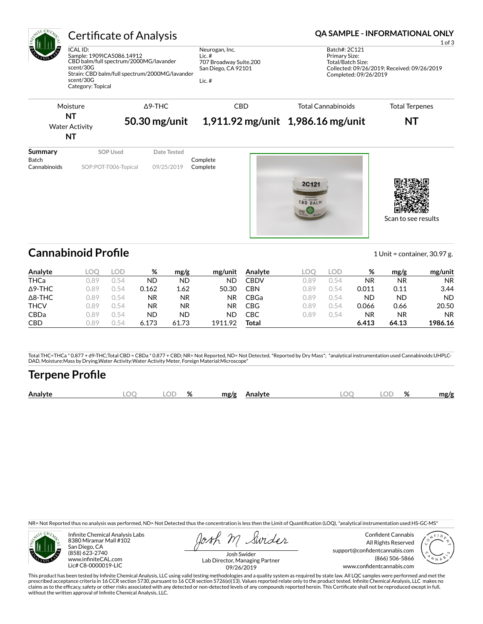ICAL ID: Sample: 1909ICA5086.14912 CBD balm/full spectrum/2000MG/lavander scent/30G Strain: CBD balm/full spectrum/2000MG/lavander scent/30G Category: Topical

Neurogan, Inc. Lic. # 707 Broadway Suite.200 San Diego, CA 92101

Lic. #

### Certificate of Analysis **Certificate of Analysis QA SAMPLE - INFORMATIONAL ONLY**

1 of 3

Batch#: 2C121 Primary Size: Total/Batch Size: Collected: 09/26/2019; Received: 09/26/2019 Completed: 09/26/2019



Scan to see results

# **Cannabinoid Profile** 1 Unit = container, 30.97 g.

| Analyte        |      | LOD. | %         | mg/g      | mg/unit | Analyte     | COC  | OD.  | %     | mg/g  | mg/unit   |
|----------------|------|------|-----------|-----------|---------|-------------|------|------|-------|-------|-----------|
| <b>THCa</b>    | 0.89 | 0.54 | <b>ND</b> | ND        | ND      | <b>CBDV</b> | 0.89 | 0.54 | ΝR    | ΝR    | <b>NR</b> |
| $\Delta$ 9-THC | 0.89 | 0.54 | 0.162     | 1.62      | 50.30   | <b>CBN</b>  | 0.89 | 2.54 | 0.011 | 0.11  | 3.44      |
| $\Delta$ 8-THC | 0.89 | ገ 54 | <b>NR</b> | <b>NR</b> | NR.     | CBGa        | 0.89 | 0.54 | ND    | ND    | <b>ND</b> |
| <b>THCV</b>    | 0.89 | ገ 54 | NR.       | <b>NR</b> | NR.     | CBG         | 0.89 | 0.54 | 0.066 | 0.66  | 20.50     |
| <b>CBDa</b>    | 0.89 | 0.54 | <b>ND</b> | ND        | ND      | CBC         | 0.89 | 0.54 | NR    | ΝR    | <b>NR</b> |
| <b>CBD</b>     | J.89 | 0.54 | 6.173     | 61.73     | 1911.92 | Total       |      |      | 6.413 | 64.13 | 1986.16   |

Total THC=THCa \* 0.877 + d9-THC;Total CBD = CBDa \* 0.877 + CBD; NR= Not Reported, ND= Not Detected, \*Reported by Dry Mass\*; \*analytical instrumentation used Cannabinoids:UHPLC-DAD, Moisture:Mass by Drying,Water Activity:Water Activity Meter, Foreign Material:Microscope\*

# **Terpene Pro×le**

| OE<br>Analyte<br>mg/g<br>mg/g<br>Analyte<br>Ζ٥<br>70<br>$\sim$<br>$\tilde{\phantom{a}}$<br>$\sim$<br>-<br>the contract of the contract of the |
|-----------------------------------------------------------------------------------------------------------------------------------------------|
|-----------------------------------------------------------------------------------------------------------------------------------------------|

NR= Not Reported thus no analysis was performed, ND= Not Detected thus the concentration is less then the Limit of Quantification (LOQ), \*analytical instrumentation used:HS-GC-MS\*



Infinite Chemical Analysis Labs 8380 Miramar Mall #102 San Diego, CA (858) 623-2740 www.infiniteCAL.com Lic# C8-0000019-LIC

Swides

Confident Cannabis All Rights Reserved support@confidentcannabis.com (866) 506-5866 www.confidentcannabis.com



Josh Swider Lab Director, Managing Partner 09/26/2019

This product has been tested by Infinite Chemical Analysis, LLC using valid testing methodologies and a quality system as required by state law. All LQC samples were performed and met the prescribed acceptance criteria in 16 CCR section 5730, pursuant to 16 CCR section 5726(e)(13). Values reported relate only to the product tested. Infinite Chemical Analysis, LLC makes no<br>claims as to the efficacy, safety o without the written approval of Infinite Chemical Analysis, LLC.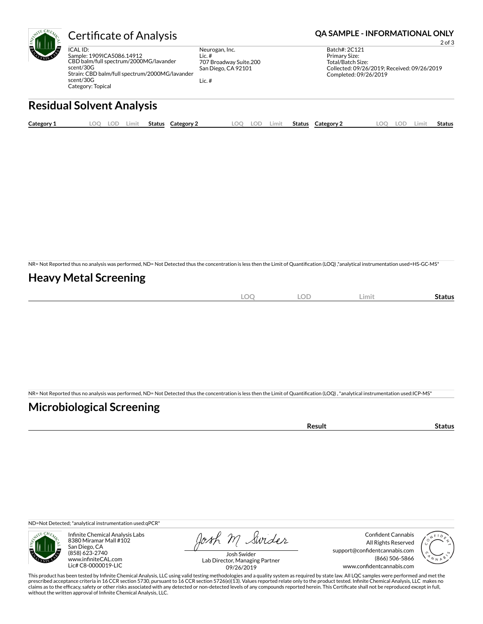

ICAL ID: Sample: 1909ICA5086.14912 CBD balm/full spectrum/2000MG/lavander scent/30G Strain: CBD balm/full spectrum/2000MG/lavander scent/30G Category: Topical

Neurogan, Inc. Lic. # 707 Broadway Suite.200 San Diego, CA 92101

Lic. #

Certificate of Analysis **Certificate of Analysis QA SAMPLE - INFORMATIONAL ONLY** 

2 of 3

Batch#: 2C121 Primary Size: Total/Batch Size: Collected: 09/26/2019; Received: 09/26/2019 Completed: 09/26/2019

# **Residual Solvent Analysis**

| Category 1 | LOC | LOD | .imit | Status | Category 2 | LOO | LOD | .imit | Status | Category 2 | $\Omega$ | LOD. | ∟imi† | Status |
|------------|-----|-----|-------|--------|------------|-----|-----|-------|--------|------------|----------|------|-------|--------|
|            |     |     |       |        |            |     |     |       |        |            |          |      |       |        |

NR= Not Reported thus no analysis was performed, ND= Not Detected thus the concentration is less then the Limit of Quantification (LOQ),\*analytical instrumentation used=HS-GC-MS\*

## **Heavy Metal Screening**

| $\overline{\phantom{a}}$<br>$\mathcal{M}$<br>$-$<br>$\sim$ | $\cap$<br>∵ ا اب | Limit | Status |
|------------------------------------------------------------|------------------|-------|--------|
|                                                            |                  |       |        |

NR= Not Reported thus no analysis was performed, ND= Not Detected thus the concentration is less then the Limit of Quantification (LOQ), \*analytical instrumentation used:ICP-MS\*

## **Microbiological Screening**

| `≏sult |
|--------|
|--------|

ND=Not Detected; \*analytical instrumentation used:qPCR\*



Infinite Chemical Analysis Labs 8380 Miramar Mall #102 San Diego, CA (858) 623-2740 www.infiniteCAL.com Lic# C8-0000019-LIC

Josh M Swider

Confident Cannabis All Rights Reserved support@confidentcannabis.com (866) 506-5866 www.confidentcannabis.com



Josh Swider Lab Director, Managing Partner 09/26/2019

This product has been tested by Infinite Chemical Analysis, LLC using valid testing methodologies and a quality system as required by state law. All LQC samples were performed and met the prescribed acceptance criteria in 16 CCR section 5730, pursuant to 16 CCR section 5726(e)(13). Values reported relate only to the product tested. Infinite Chemical Analysis, LLC makes no<br>claims as to the efficacy, safety o without the written approval of Infinite Chemical Analysis, LLC.